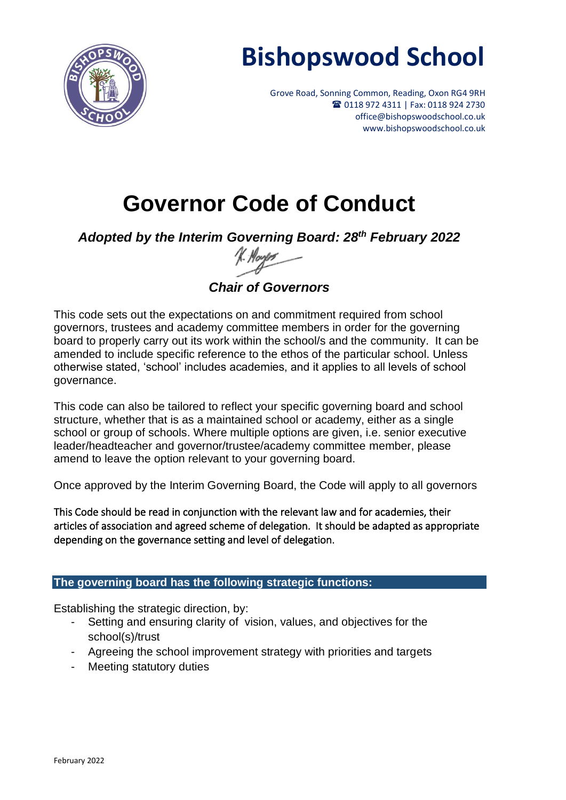

# **Bishopswood School**

Grove Road, Sonning Common, Reading, Oxon RG4 9RH <sup>2</sup> 0118 972 4311 | Fax: 0118 924 2730 office@bishopswoodschool.co.uk www.bishopswoodschool.co.uk

# **Governor Code of Conduct**

*Adopted by the Interim Governing Board: 28th February 2022*

*Chair of Governors*

This code sets out the expectations on and commitment required from school governors, trustees and academy committee members in order for the governing board to properly carry out its work within the school/s and the community. It can be amended to include specific reference to the ethos of the particular school. Unless otherwise stated, 'school' includes academies, and it applies to all levels of school governance.

This code can also be tailored to reflect your specific governing board and school structure, whether that is as a maintained school or academy, either as a single school or group of schools. Where multiple options are given, i.e. senior executive leader/headteacher and governor/trustee/academy committee member, please amend to leave the option relevant to your governing board.

Once approved by the Interim Governing Board, the Code will apply to all governors

This Code should be read in conjunction with the relevant law and for academies, their articles of association and agreed scheme of delegation. It should be adapted as appropriate depending on the governance setting and level of delegation.

#### **The governing board has the following strategic functions:**

Establishing the strategic direction, by:

- Setting and ensuring clarity of vision, values, and objectives for the school(s)/trust
- Agreeing the school improvement strategy with priorities and targets
- Meeting statutory duties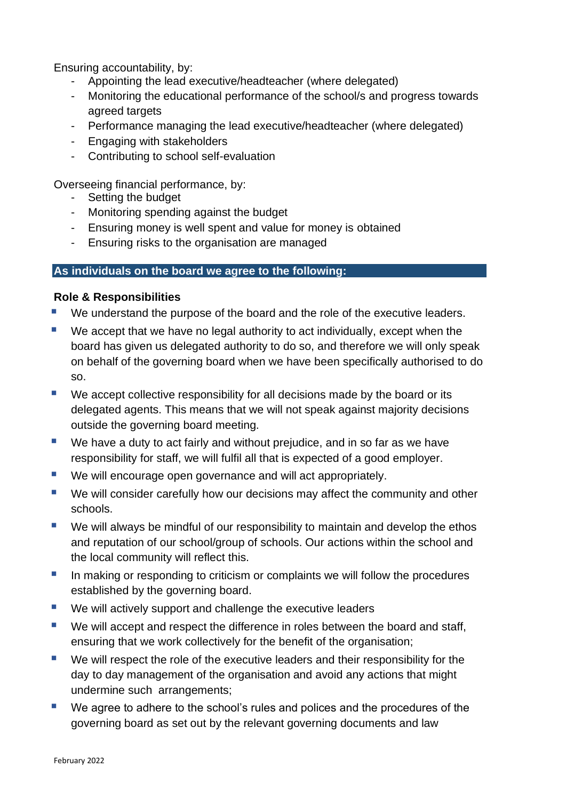Ensuring accountability, by:

- Appointing the lead executive/headteacher (where delegated)
- Monitoring the educational performance of the school/s and progress towards agreed targets
- Performance managing the lead executive/headteacher (where delegated)
- Engaging with stakeholders
- Contributing to school self-evaluation

Overseeing financial performance, by:

- Setting the budget
- Monitoring spending against the budget
- Ensuring money is well spent and value for money is obtained
- Ensuring risks to the organisation are managed

#### **As individuals on the board we agree to the following:**

#### **Role & Responsibilities**

- We understand the purpose of the board and the role of the executive leaders.
- We accept that we have no legal authority to act individually, except when the board has given us delegated authority to do so, and therefore we will only speak on behalf of the governing board when we have been specifically authorised to do so.
- We accept collective responsibility for all decisions made by the board or its delegated agents. This means that we will not speak against majority decisions outside the governing board meeting.
- We have a duty to act fairly and without prejudice, and in so far as we have responsibility for staff, we will fulfil all that is expected of a good employer.
- We will encourage open governance and will act appropriately.
- We will consider carefully how our decisions may affect the community and other schools.
- We will always be mindful of our responsibility to maintain and develop the ethos and reputation of our school/group of schools. Our actions within the school and the local community will reflect this.
- In making or responding to criticism or complaints we will follow the procedures established by the governing board.
- We will actively support and challenge the executive leaders
- We will accept and respect the difference in roles between the board and staff, ensuring that we work collectively for the benefit of the organisation;
- We will respect the role of the executive leaders and their responsibility for the day to day management of the organisation and avoid any actions that might undermine such arrangements;
- We agree to adhere to the school's rules and polices and the procedures of the governing board as set out by the relevant governing documents and law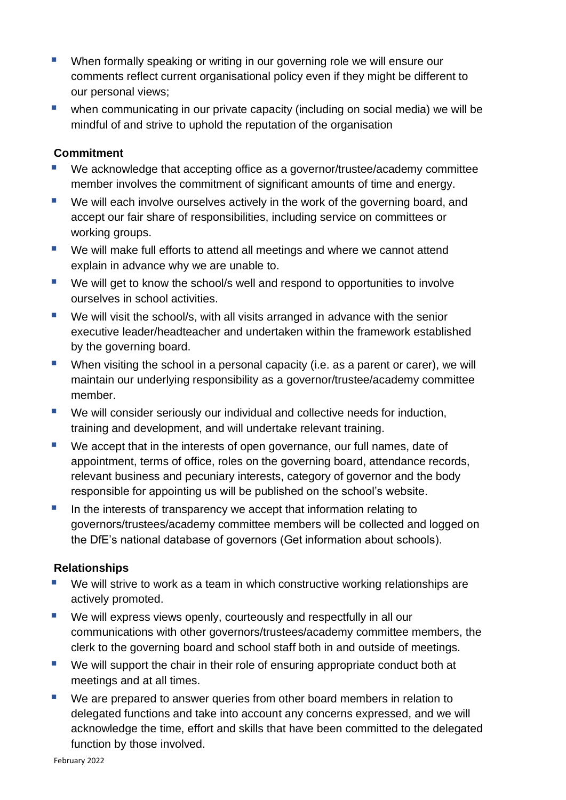- When formally speaking or writing in our governing role we will ensure our comments reflect current organisational policy even if they might be different to our personal views;
- when communicating in our private capacity (including on social media) we will be mindful of and strive to uphold the reputation of the organisation

#### **Commitment**

- We acknowledge that accepting office as a governor/trustee/academy committee member involves the commitment of significant amounts of time and energy.
- We will each involve ourselves actively in the work of the governing board, and accept our fair share of responsibilities, including service on committees or working groups.
- We will make full efforts to attend all meetings and where we cannot attend explain in advance why we are unable to.
- We will get to know the school/s well and respond to opportunities to involve ourselves in school activities.
- We will visit the school/s, with all visits arranged in advance with the senior executive leader/headteacher and undertaken within the framework established by the governing board.
- When visiting the school in a personal capacity (i.e. as a parent or carer), we will maintain our underlying responsibility as a governor/trustee/academy committee member.
- We will consider seriously our individual and collective needs for induction, training and development, and will undertake relevant training.
- We accept that in the interests of open governance, our full names, date of appointment, terms of office, roles on the governing board, attendance records, relevant business and pecuniary interests, category of governor and the body responsible for appointing us will be published on the school's website.
- In the interests of transparency we accept that information relating to governors/trustees/academy committee members will be collected and logged on the DfE's national database of governors (Get information about schools).

#### **Relationships**

- We will strive to work as a team in which constructive working relationships are actively promoted.
- We will express views openly, courteously and respectfully in all our communications with other governors/trustees/academy committee members, the clerk to the governing board and school staff both in and outside of meetings.
- We will support the chair in their role of ensuring appropriate conduct both at meetings and at all times.
- We are prepared to answer queries from other board members in relation to delegated functions and take into account any concerns expressed, and we will acknowledge the time, effort and skills that have been committed to the delegated function by those involved.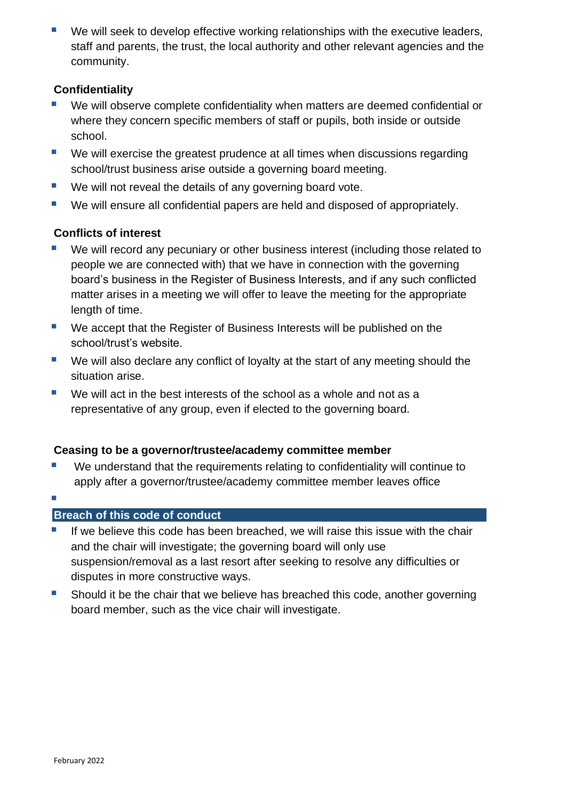We will seek to develop effective working relationships with the executive leaders, staff and parents, the trust, the local authority and other relevant agencies and the community.

### **Confidentiality**

- We will observe complete confidentiality when matters are deemed confidential or where they concern specific members of staff or pupils, both inside or outside school.
- We will exercise the greatest prudence at all times when discussions regarding school/trust business arise outside a governing board meeting.
- We will not reveal the details of any governing board vote.
- We will ensure all confidential papers are held and disposed of appropriately.

### **Conflicts of interest**

- We will record any pecuniary or other business interest (including those related to people we are connected with) that we have in connection with the governing board's business in the Register of Business Interests, and if any such conflicted matter arises in a meeting we will offer to leave the meeting for the appropriate length of time.
- We accept that the Register of Business Interests will be published on the school/trust's website.
- We will also declare any conflict of loyalty at the start of any meeting should the situation arise.
- We will act in the best interests of the school as a whole and not as a representative of any group, even if elected to the governing board.

#### **Ceasing to be a governor/trustee/academy committee member**

- We understand that the requirements relating to confidentiality will continue to apply after a governor/trustee/academy committee member leaves office
- ▪

#### **Breach of this code of conduct**

- If we believe this code has been breached, we will raise this issue with the chair and the chair will investigate; the governing board will only use suspension/removal as a last resort after seeking to resolve any difficulties or disputes in more constructive ways.
- Should it be the chair that we believe has breached this code, another governing board member, such as the vice chair will investigate.